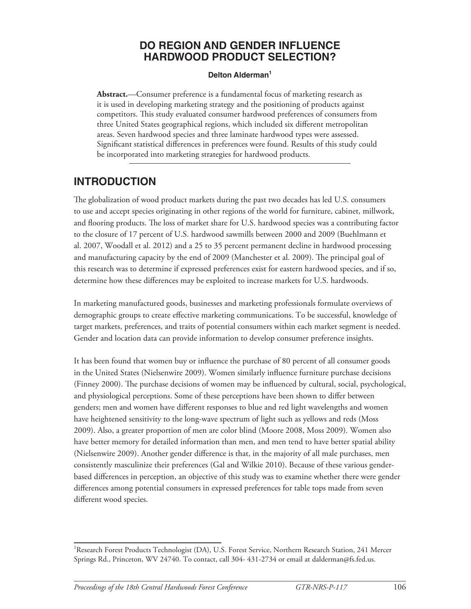### **DO REGION AND GENDER INFLUENCE HARDWOOD PRODUCT SELECTION?**

#### **Delton Alderman<sup>1</sup>**

**Abstract.**—Consumer preference is a fundamental focus of marketing research as it is used in developing marketing strategy and the positioning of products against competitors. This study evaluated consumer hardwood preferences of consumers from three United States geographical regions, which included six different metropolitan areas. Seven hardwood species and three laminate hardwood types were assessed. Significant statistical differences in preferences were found. Results of this study could be incorporated into marketing strategies for hardwood products.

### **INTRODUCTION**

The globalization of wood product markets during the past two decades has led U.S. consumers to use and accept species originating in other regions of the world for furniture, cabinet, millwork, and flooring products. The loss of market share for U.S. hardwood species was a contributing factor to the closure of 17 percent of U.S. hardwood sawmills between 2000 and 2009 (Buehlmann et al. 2007, Woodall et al. 2012) and a 25 to 35 percent permanent decline in hardwood processing and manufacturing capacity by the end of 2009 (Manchester et al. 2009). The principal goal of this research was to determine if expressed preferences exist for eastern hardwood species, and if so, determine how these differences may be exploited to increase markets for U.S. hardwoods.

In marketing manufactured goods, businesses and marketing professionals formulate overviews of demographic groups to create effective marketing communications. To be successful, knowledge of target markets, preferences, and traits of potential consumers within each market segment is needed. Gender and location data can provide information to develop consumer preference insights.

It has been found that women buy or influence the purchase of 80 percent of all consumer goods in the United States (Nielsenwire 2009). Women similarly influence furniture purchase decisions (Finney 2000). The purchase decisions of women may be influenced by cultural, social, psychological, and physiological perceptions. Some of these perceptions have been shown to differ between genders; men and women have different responses to blue and red light wavelengths and women have heightened sensitivity to the long-wave spectrum of light such as yellows and reds (Moss 2009). Also, a greater proportion of men are color blind (Moore 2008, Moss 2009). Women also have better memory for detailed information than men, and men tend to have better spatial ability (Nielsenwire 2009). Another gender difference is that, in the majority of all male purchases, men consistently masculinize their preferences (Gal and Wilkie 2010). Because of these various genderbased differences in perception, an objective of this study was to examine whether there were gender differences among potential consumers in expressed preferences for table tops made from seven different wood species.

<sup>&</sup>lt;sup>1</sup>Research Forest Products Technologist (DA), U.S. Forest Service, Northern Research Station, 241 Mercer Springs Rd., Princeton, WV 24740. To contact, call 304- 431-2734 or email at dalderman@fs.fed.us.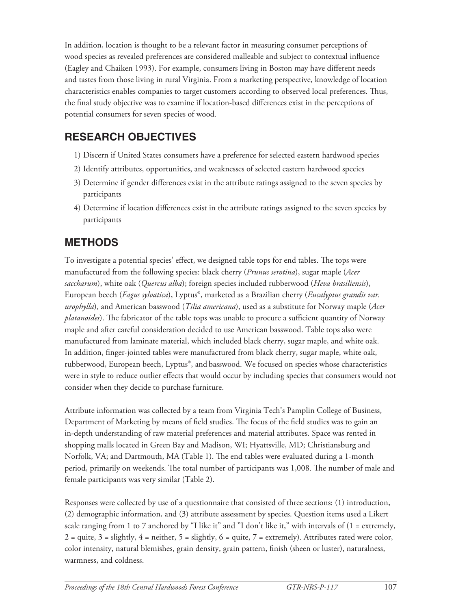In addition, location is thought to be a relevant factor in measuring consumer perceptions of wood species as revealed preferences are considered malleable and subject to contextual influence (Eagley and Chaiken 1993). For example, consumers living in Boston may have different needs and tastes from those living in rural Virginia. From a marketing perspective, knowledge of location characteristics enables companies to target customers according to observed local preferences. Thus, the final study objective was to examine if location-based differences exist in the perceptions of potential consumers for seven species of wood.

## **RESEARCH OBJECTIVES**

- 1) Discern if United States consumers have a preference for selected eastern hardwood species
- 2) Identify attributes, opportunities, and weaknesses of selected eastern hardwood species
- 3) Determine if gender differences exist in the attribute ratings assigned to the seven species by participants
- 4) Determine if location differences exist in the attribute ratings assigned to the seven species by participants

## **METHODS**

To investigate a potential species' effect, we designed table tops for end tables. The tops were manufactured from the following species: black cherry (*Prunus serotina*), sugar maple (*Acer saccharum*), white oak (*Quercus alba*); foreign species included rubberwood (*Heva brasiliensis*), European beech (*Fagus sylvatica*), Lyptus®, marketed as a Brazilian cherry (*Eucalyptus grandis var. urophylla*), and American basswood (*Tilia americana*), used as a substitute for Norway maple (*Acer platanoides*). The fabricator of the table tops was unable to procure a sufficient quantity of Norway maple and after careful consideration decided to use American basswood. Table tops also were manufactured from laminate material, which included black cherry, sugar maple, and white oak. In addition, finger-jointed tables were manufactured from black cherry, sugar maple, white oak, rubberwood, European beech, Lyptus®, and basswood. We focused on species whose characteristics were in style to reduce outlier effects that would occur by including species that consumers would not consider when they decide to purchase furniture.

Attribute information was collected by a team from Virginia Tech's Pamplin College of Business, Department of Marketing by means of field studies. The focus of the field studies was to gain an in-depth understanding of raw material preferences and material attributes. Space was rented in shopping malls located in Green Bay and Madison, WI; Hyattsville, MD; Christiansburg and Norfolk, VA; and Dartmouth, MA (Table 1). The end tables were evaluated during a 1-month period, primarily on weekends. The total number of participants was 1,008. The number of male and female participants was very similar (Table 2).

Responses were collected by use of a questionnaire that consisted of three sections: (1) introduction, (2) demographic information, and (3) attribute assessment by species. Question items used a Likert scale ranging from 1 to 7 anchored by "I like it" and "I don't like it," with intervals of  $(1 = \text{extremely},$  $2 =$  quite,  $3 =$  slightly,  $4 =$  neither,  $5 =$  slightly,  $6 =$  quite,  $7 =$  extremely). Attributes rated were color, color intensity, natural blemishes, grain density, grain pattern, finish (sheen or luster), naturalness, warmness, and coldness.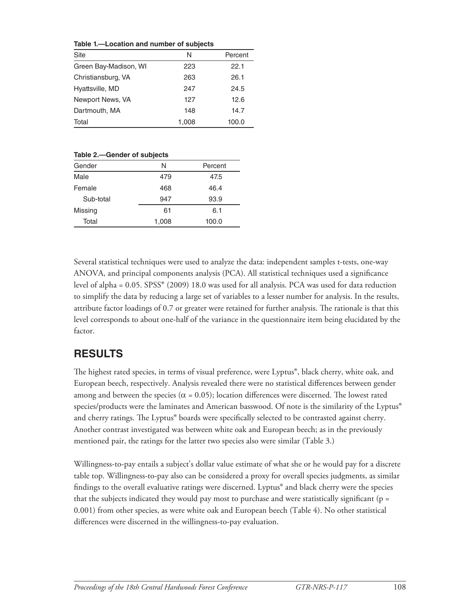**Table 1.—Location and number of subjects** 

| <b>Site</b>           | N     | Percent |
|-----------------------|-------|---------|
| Green Bay-Madison, WI | 223   | 22.1    |
| Christiansburg, VA    | 263   | 26.1    |
| Hyattsville, MD       | 247   | 24.5    |
| Newport News, VA      | 127   | 12.6    |
| Dartmouth, MA         | 148   | 14.7    |
| Total                 | 1,008 | 100.0   |

**Table 2.—Gender of subjects** 

| Gender    | N     | Percent |
|-----------|-------|---------|
| Male      | 479   | 47.5    |
| Female    | 468   | 46.4    |
| Sub-total | 947   | 93.9    |
| Missing   | 61    | 6.1     |
| Total     | 1,008 | 100.0   |

Several statistical techniques were used to analyze the data: independent samples t-tests, one-way ANOVA, and principal components analysis (PCA). All statistical techniques used a significance level of alpha = 0.05. SPSS® (2009) 18.0 was used for all analysis. PCA was used for data reduction to simplify the data by reducing a large set of variables to a lesser number for analysis. In the results, attribute factor loadings of 0.7 or greater were retained for further analysis. The rationale is that this level corresponds to about one-half of the variance in the questionnaire item being elucidated by the factor.

### **RESULTS**

The highest rated species, in terms of visual preference, were Lyptus®, black cherry, white oak, and European beech, respectively. Analysis revealed there were no statistical differences between gender among and between the species ( $\alpha = 0.05$ ); location differences were discerned. The lowest rated species/products were the laminates and American basswood. Of note is the similarity of the Lyptus® and cherry ratings. The Lyptus® boards were specifically selected to be contrasted against cherry. Another contrast investigated was between white oak and European beech; as in the previously mentioned pair, the ratings for the latter two species also were similar (Table 3.)

Willingness-to-pay entails a subject's dollar value estimate of what she or he would pay for a discrete table top. Willingness-to-pay also can be considered a proxy for overall species judgments, as similar findings to the overall evaluative ratings were discerned. Lyptus<sup>®</sup> and black cherry were the species that the subjects indicated they would pay most to purchase and were statistically significant ( $p =$ 0.001) from other species, as were white oak and European beech (Table 4). No other statistical differences were discerned in the willingness-to-pay evaluation.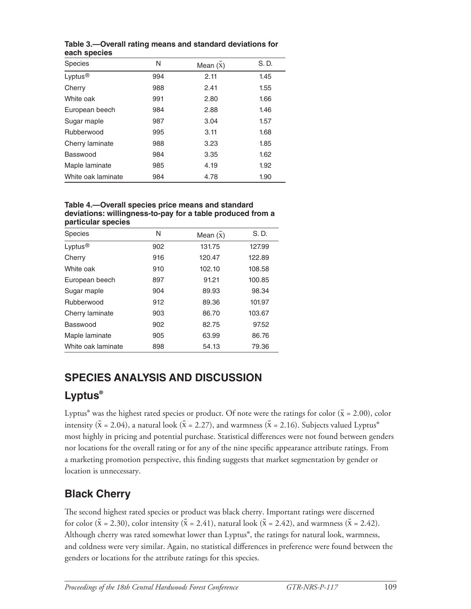| <b>Species</b>      | N   | Mean $(X)$ | S. D. |
|---------------------|-----|------------|-------|
| Lyptus <sup>®</sup> | 994 | 2.11       | 1.45  |
| Cherry              | 988 | 2.41       | 1.55  |
| White oak           | 991 | 2.80       | 1.66  |
| European beech      | 984 | 2.88       | 1.46  |
| Sugar maple         | 987 | 3.04       | 1.57  |
| Rubberwood          | 995 | 3.11       | 1.68  |
| Cherry laminate     | 988 | 3.23       | 1.85  |
| Basswood            | 984 | 3.35       | 1.62  |
| Maple laminate      | 985 | 4.19       | 1.92  |
| White oak laminate  | 984 | 4.78       | 1.90  |

**Table 3.—Overall rating means and standard deviations for each species** 

#### **Table 4.—Overall species price means and standard deviations: willingness-to-pay for a table produced from a particular species**

| <b>Species</b>      | N   | Mean $(x)$ | S. D.  |
|---------------------|-----|------------|--------|
| Lyptus <sup>®</sup> | 902 | 131.75     | 127.99 |
| Cherry              | 916 | 120.47     | 122.89 |
| White oak           | 910 | 102.10     | 108.58 |
| European beech      | 897 | 91.21      | 100.85 |
| Sugar maple         | 904 | 89.93      | 98.34  |
| Rubberwood          | 912 | 89.36      | 101.97 |
| Cherry laminate     | 903 | 86.70      | 103.67 |
| Basswood            | 902 | 82.75      | 97.52  |
| Maple laminate      | 905 | 63.99      | 86.76  |
| White oak laminate  | 898 | 54.13      | 79.36  |

# **SPECIES ANALYSIS AND DISCUSSION**

# **Lyptus®**

Lyptus<sup>®</sup> was the highest rated species or product. Of note were the ratings for color ( $\bar{x}$  = 2.00), color intensity ( $\bar{x} = 2.04$ ), a natural look ( $\bar{x} = 2.27$ ), and warmness ( $\bar{x} = 2.16$ ). Subjects valued Lyptus<sup>®</sup> most highly in pricing and potential purchase. Statistical differences were not found between genders nor locations for the overall rating or for any of the nine specific appearance attribute ratings. From a marketing promotion perspective, this finding suggests that market segmentation by gender or location is unnecessary.

# **Black Cherry**

The second highest rated species or product was black cherry. Important ratings were discerned for color ( $\bar{x}$  = 2.30), color intensity ( $\bar{x}$  = 2.41), natural look ( $\bar{x}$  = 2.42), and warmness ( $\bar{x}$  = 2.42). Although cherry was rated somewhat lower than Lyptus®, the ratings for natural look, warmness, and coldness were very similar. Again, no statistical differences in preference were found between the genders or locations for the attribute ratings for this species.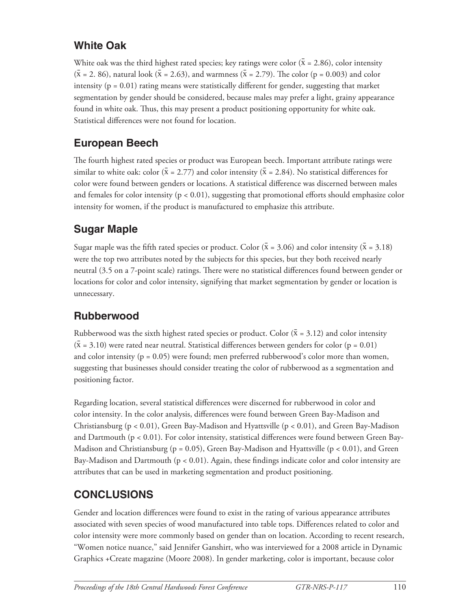## **White Oak**

White oak was the third highest rated species; key ratings were color ( $\bar{x}$  = 2.86), color intensity  $(\bar{x} = 2, 86)$ , natural look  $(\bar{x} = 2.63)$ , and warmness  $(\bar{x} = 2.79)$ . The color (p = 0.003) and color intensity ( $p = 0.01$ ) rating means were statistically different for gender, suggesting that market segmentation by gender should be considered, because males may prefer a light, grainy appearance found in white oak. Thus, this may present a product positioning opportunity for white oak. Statistical differences were not found for location.

## **European Beech**

The fourth highest rated species or product was European beech. Important attribute ratings were similar to white oak: color ( $\bar{x} = 2.77$ ) and color intensity ( $\bar{x} = 2.84$ ). No statistical differences for color were found between genders or locations. A statistical difference was discerned between males and females for color intensity ( $p < 0.01$ ), suggesting that promotional efforts should emphasize color intensity for women, if the product is manufactured to emphasize this attribute.

# **Sugar Maple**

Sugar maple was the fifth rated species or product. Color ( $\bar{x} = 3.06$ ) and color intensity ( $\bar{x} = 3.18$ ) were the top two attributes noted by the subjects for this species, but they both received nearly neutral (3.5 on a 7-point scale) ratings. There were no statistical differences found between gender or locations for color and color intensity, signifying that market segmentation by gender or location is unnecessary.

## **Rubberwood**

Rubberwood was the sixth highest rated species or product. Color ( $\bar{x}$  = 3.12) and color intensity  $(\bar{x} = 3.10)$  were rated near neutral. Statistical differences between genders for color (p = 0.01) and color intensity ( $p = 0.05$ ) were found; men preferred rubberwood's color more than women, suggesting that businesses should consider treating the color of rubberwood as a segmentation and positioning factor.

Regarding location, several statistical differences were discerned for rubberwood in color and color intensity. In the color analysis, differences were found between Green Bay-Madison and Christiansburg (p < 0.01), Green Bay-Madison and Hyattsville (p < 0.01), and Green Bay-Madison and Dartmouth ( $p < 0.01$ ). For color intensity, statistical differences were found between Green Bay-Madison and Christiansburg ( $p = 0.05$ ), Green Bay-Madison and Hyattsville ( $p < 0.01$ ), and Green Bay-Madison and Dartmouth ( $p < 0.01$ ). Again, these findings indicate color and color intensity are attributes that can be used in marketing segmentation and product positioning.

# **CONCLUSIONS**

Gender and location differences were found to exist in the rating of various appearance attributes associated with seven species of wood manufactured into table tops. Differences related to color and color intensity were more commonly based on gender than on location. According to recent research, "Women notice nuance," said Jennifer Ganshirt, who was interviewed for a 2008 article in Dynamic Graphics +Create magazine (Moore 2008). In gender marketing, color is important, because color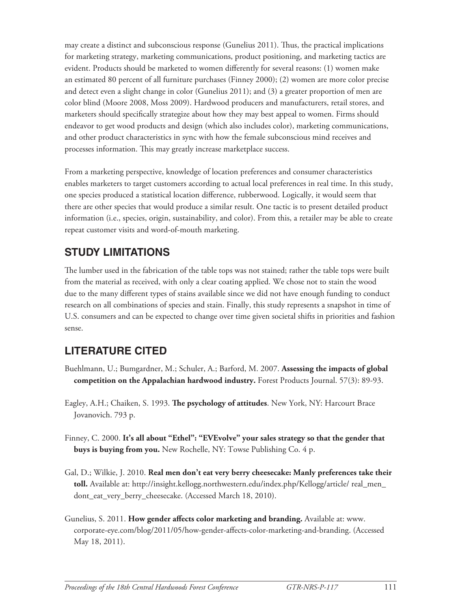may create a distinct and subconscious response (Gunelius 2011). Thus, the practical implications for marketing strategy, marketing communications, product positioning, and marketing tactics are evident. Products should be marketed to women differently for several reasons: (1) women make an estimated 80 percent of all furniture purchases (Finney 2000); (2) women are more color precise and detect even a slight change in color (Gunelius 2011); and (3) a greater proportion of men are color blind (Moore 2008, Moss 2009). Hardwood producers and manufacturers, retail stores, and marketers should specifically strategize about how they may best appeal to women. Firms should endeavor to get wood products and design (which also includes color), marketing communications, and other product characteristics in sync with how the female subconscious mind receives and processes information. This may greatly increase marketplace success.

From a marketing perspective, knowledge of location preferences and consumer characteristics enables marketers to target customers according to actual local preferences in real time. In this study, one species produced a statistical location difference, rubberwood. Logically, it would seem that there are other species that would produce a similar result. One tactic is to present detailed product information (i.e., species, origin, sustainability, and color). From this, a retailer may be able to create repeat customer visits and word-of-mouth marketing.

# **STUDY LIMITATIONS**

The lumber used in the fabrication of the table tops was not stained; rather the table tops were built from the material as received, with only a clear coating applied. We chose not to stain the wood due to the many different types of stains available since we did not have enough funding to conduct research on all combinations of species and stain. Finally, this study represents a snapshot in time of U.S. consumers and can be expected to change over time given societal shifts in priorities and fashion sense.

## **LITERATURE CITED**

- Buehlmann, U.; Bumgardner, M.; Schuler, A.; Barford, M. 2007. **Assessing the impacts of global competition on the Appalachian hardwood industry.** Forest Products Journal. 57(3): 89-93.
- Eagley, A.H.; Chaiken, S. 1993. **The psychology of attitudes**. New York, NY: Harcourt Brace Jovanovich. 793 p.
- Finney, C. 2000. **It's all about "Ethel": "EVEvolve" your sales strategy so that the gender that buys is buying from you .** New Rochelle, NY: Towse Publishing Co. 4 p.
- Gal, D.; Wilkie, J. 2010. **Real men don't eat very berry cheesecake: Manly preferences take their toll.** Available at: http://insight.kellogg.northwestern.edu/index.php/Kellogg/article/ real\_men\_ dont\_eat\_very\_berry\_cheesecake. (Accessed March 18, 2010).
- Gunelius, S. 2011. **How gender affects color marketing and branding.** Available at: www. corporate-eye.com/blog/2011/05/how-gender-affects-color-marketing-and-branding. (Accessed May 18, 2011).